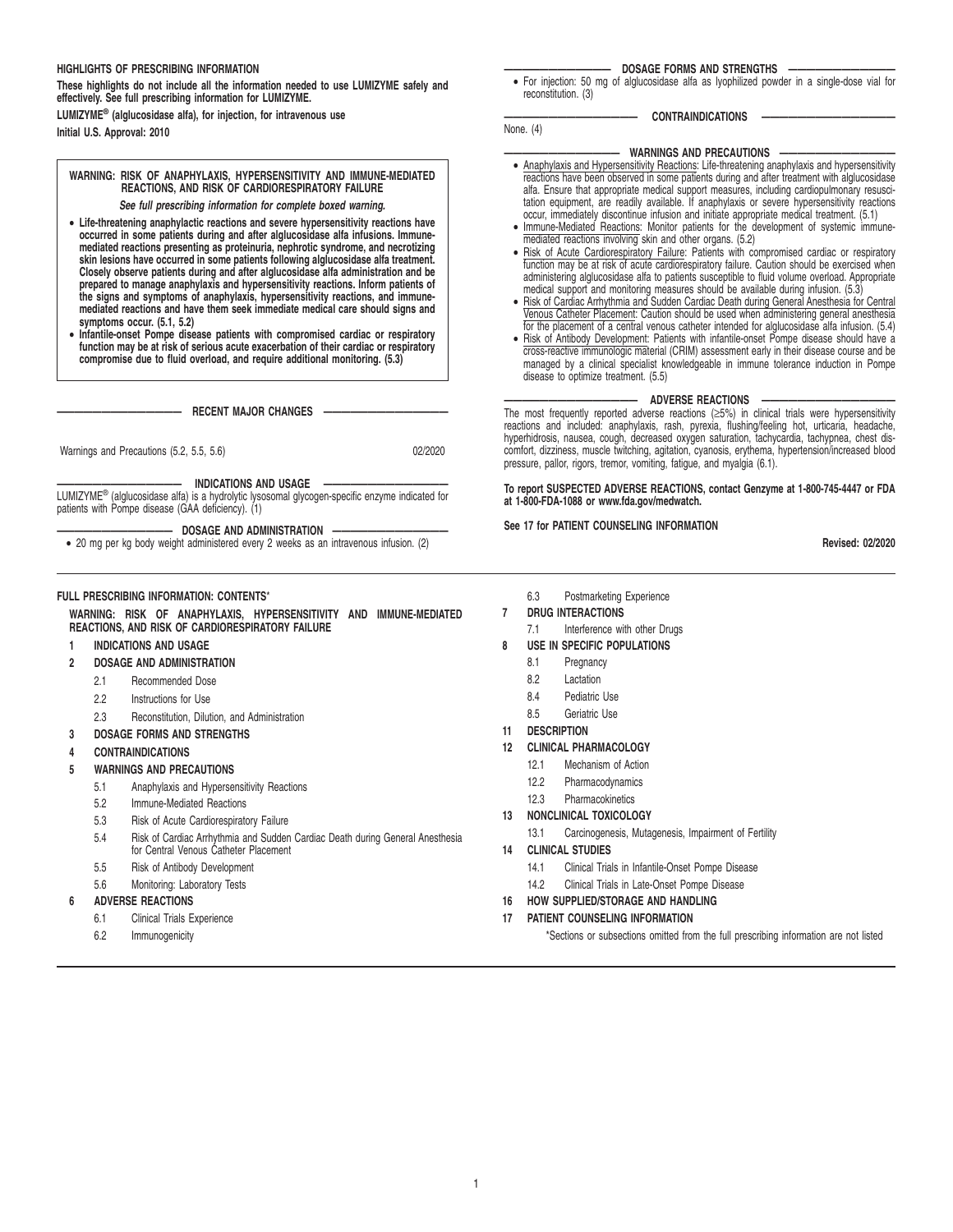### **HIGHLIGHTS OF PRESCRIBING INFORMATION**

**These highlights do not include all the information needed to use LUMIZYME safely and effectively. See full prescribing information for LUMIZYME.**

**LUMIZYME® (alglucosidase alfa), for injection, for intravenous use Initial U.S. Approval: 2010**

# **WARNING: RISK OF ANAPHYLAXIS, HYPERSENSITIVITY AND IMMUNE-MEDIATED REACTIONS, AND RISK OF CARDIORESPIRATORY FAILURE**

**See full prescribing information for complete boxed warning.**

- **Life-threatening anaphylactic reactions and severe hypersensitivity reactions have occurred in some patients during and after alglucosidase alfa infusions. Immunemediated reactions presenting as proteinuria, nephrotic syndrome, and necrotizing skin lesions have occurred in some patients following alglucosidase alfa treatment. Closely observe patients during and after alglucosidase alfa administration and be** prepared to manage anaphylaxis and hypersensitivity reactions. Inform patients of<br>the signs and symptoms of anaphylaxis, hypersensitivity reactions, and immune-<br>mediated reactions and have them seek immediate medical care **symptoms occur. (5.1, 5.2)**
- Infantile-onset Pompe disease patients with compromised cardiac or respiratory function may be at risk of serious acute exacerbation of their cardiac or respiratory compromise due to fluid overload, and require additional

 $-$  RECENT MAJOR CHANGES -

Warnings and Precautions (5.2, 5.5, 5.6) 02/2020

**—————————————— INDICATIONS AND USAGE ——————————————** LUMIZYME® (alglucosidase alfa) is a hydrolytic lysosomal glycogen-specific enzyme indicated for patients with Pompe disease (GAA deficiency). (1)

 $-$  DOSAGE AND ADMINISTRATION

• 20 mg per kg body weight administered every 2 weeks as an intravenous infusion. (2)

# **FULL PRESCRIBING INFORMATION: CONTENTS**\*

**WARNING: RISK OF ANAPHYLAXIS, HYPERSENSITIVITY AND IMMUNE-MEDIATED REACTIONS, AND RISK OF CARDIORESPIRATORY FAILURE**

### **1 INDICATIONS AND USAGE**

**2 DOSAGE AND ADMINISTRATION**

- 2.1 Recommended Dose
- 2.2 Instructions for Use
- 2.3 Reconstitution, Dilution, and Administration
- **3 DOSAGE FORMS AND STRENGTHS**
- **4 CONTRAINDICATIONS**

## **5 WARNINGS AND PRECAUTIONS**

- 5.1 Anaphylaxis and Hypersensitivity Reactions
- 5.2 Immune-Mediated Reactions
- 5.3 Risk of Acute Cardiorespiratory Failure
- 5.4 Risk of Cardiac Arrhythmia and Sudden Cardiac Death during General Anesthesia for Central Venous Catheter Placement
- 5.5 Risk of Antibody Development
- 5.6 Monitoring: Laboratory Tests

# **6 ADVERSE REACTIONS**

- 6.1 Clinical Trials Experience
- 6.2 Immunogenicity

#### DOSAGE FORMS AND STRENGTHS

• For injection: 50 mg of alglucosidase alfa as lyophilized powder in a single-dose vial for reconstitution. (3)

**——————————————— CONTRAINDICATIONS ———————————————**

# $-$  WARNINGS AND PRECAUTIONS

- Anaphylaxis and Hypersensitivity Reactions: Life-threatening anaphylaxis and hypersensitivity reactions have been observed in some patients during and after treatment with alglucosidase alfa. Ensure that appropriate medical support measures, including cardiopulmonary resuscitation equipment, are readily available. If anaphylaxis or severe hypersensitivity reactions
- occur, immediately discontinue infusion and initiate appropriate medical treatment. (5.1) Immune-Mediated Reactions: Monitor patients for the development of systemic immunemediated reactions involving skin and other organs. (5.2)
- Risk of Acute Cardiorespiratory Failure: Patients with compromised cardiac or respiratory function may be at risk of acute cardiorespiratory failure. Caution should be exercised when administering alglucosidase alfa to p
- Venous Catheter Placement: Caution should be used when administering general anesthesia
- for the placement of a central venous catheter intended for alglucosidase alfa infusion. (5.4)<br>• Risk of Antibody Development: Patients with infantile-onset Pompe disease should have a<br>cross-reactive immunologic material ( disease to optimize treatment. (5.5)

# **ADVERSE REACTIONS**

The most frequently reported adverse reactions (≥5%) in clinical trials were hypersensitivity reactions and included: anaphylaxis, rash, pyrexia, flushing/feeling hot, urticaria, headache, hyperhidrosis, nausea, cough, decreased oxygen saturation, tachycardia, tachypnea, chest discomfort, dizziness, muscle twitching, agitation, cyanosis, erythema, hypertension/increased blood pressure, pallor, rigors, tremor, vomiting, fatigue, and myalgia (6.1).

**To report SUSPECTED ADVERSE REACTIONS, contact Genzyme at 1-800-745-4447 or FDA at 1-800-FDA-1088 or www.fda.gov/medwatch.**

#### **See 17 for PATIENT COUNSELING INFORMATION**

**Revised: 02/2020**

- 6.3 Postmarketing Experience
- **7 DRUG INTERACTIONS**

None. (4)

- 7.1 Interference with other Drugs
- **8 USE IN SPECIFIC POPULATIONS**
	- 8.1 Pregnancy
	- 8.2 Lactation
	- 8.4 Pediatric Use
	- 8.5 Geriatric Use
- **11 DESCRIPTION**
- **12 CLINICAL PHARMACOLOGY**
	- 12.1 Mechanism of Action
	- 12.2 Pharmacodynamics
	- 12.3 Pharmacokinetics
- **13 NONCLINICAL TOXICOLOGY**
	- 13.1 Carcinogenesis, Mutagenesis, Impairment of Fertility
- **14 CLINICAL STUDIES**
	- 14.1 Clinical Trials in Infantile-Onset Pompe Disease
	- 14.2 Clinical Trials in Late-Onset Pompe Disease
- **16 HOW SUPPLIED/STORAGE AND HANDLING**
- **17 PATIENT COUNSELING INFORMATION**

\*Sections or subsections omitted from the full prescribing information are not listed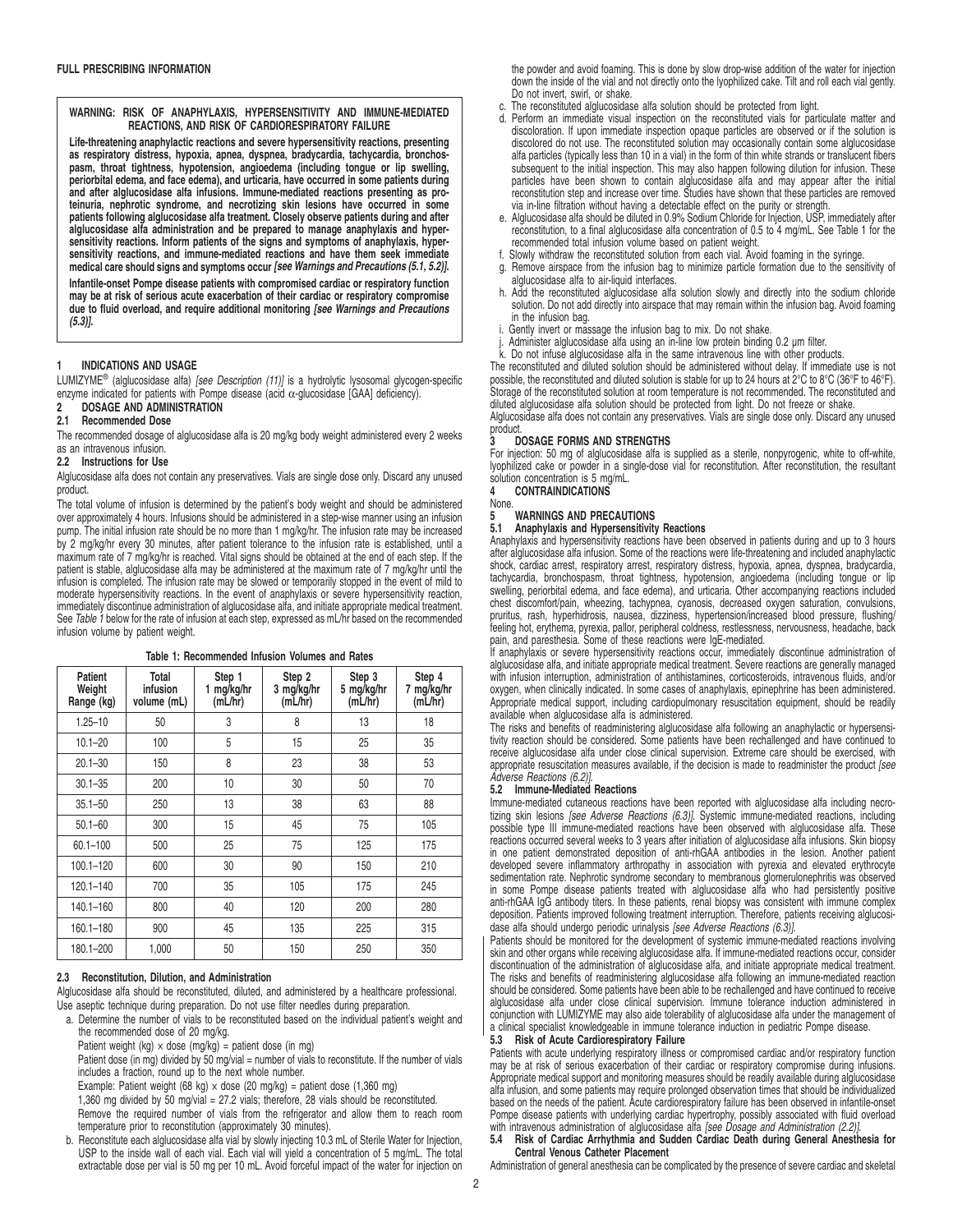**WARNING: RISK OF ANAPHYLAXIS, HYPERSENSITIVITY AND IMMUNE-MEDIATED REACTIONS, AND RISK OF CARDIORESPIRATORY FAILURE**

**Life-threatening anaphylactic reactions and severe hypersensitivity reactions, presenting as respiratory distress, hypoxia, apnea, dyspnea, bradycardia, tachycardia, bronchospasm, throat tightness, hypotension, angioedema (including tongue or lip swelling, periorbital edema, and face edema), and urticaria, have occurred in some patients during and after alglucosidase alfa infusions. Immune-mediated reactions presenting as proteinuria, nephrotic syndrome, and necrotizing skin lesions have occurred in some patients following alglucosidase alfa treatment. Closely observe patients during and after alglucosidase alfa administration and be prepared to manage anaphylaxis and hypersensitivity reactions. Inform patients of the signs and symptoms of anaphylaxis, hypersensitivity reactions, and immune-mediated reactions and have them seek immediate medical care should signs and symptoms occur [see Warnings and Precautions (5.1, 5.2)].**

**Infantile-onset Pompe disease patients with compromised cardiac or respiratory function may be at risk of serious acute exacerbation of their cardiac or respiratory compromise due to fluid overload, and require additional monitoring [see Warnings and Precautions (5.3)].**

# **1 INDICATIONS AND USAGE**

LUMIZYME<sup>®</sup> (alglucosidase alfa) [see Description (11)] is a hydrolytic lysosomal glycogen-specific enzyme indicated for patients with Pompe disease (acid α-glucosidase [GAA] deficiency).

# 2 DOSAGE AND ADMINISTRATION<br>2.1 Recommended Dose

# **2.1 Recommended Dose**

The recommended dosage of alglucosidase alfa is 20 mg/kg body weight administered every 2 weeks as an intravenous infusion.

#### **2.2 Instructions for Use**

Alglucosidase alfa does not contain any preservatives. Vials are single dose only. Discard any unused product.

The total volume of infusion is determined by the patient's body weight and should be administered over approximately 4 hours. Infusions should be administered in a step-wise manner using an infusion pump. The initial infusion rate should be no more than 1 mg/kg/hr. The infusion rate may be increased by 2 mg/kg/hr every 30 minutes, after patient tolerance to the infusion rate is established, until a maximum rate of 7 mg/kg/hr is reached. Vital signs should be obtained at the end of each step. If the patient is stable, alglucosidase alfa may be administered at the maximum rate of 7 mg/kg/hr until the infusion is completed. The infusion rate may be slowed or temporarily stopped in the event of mild to moderate hypersensitivity reactions. In the event of anaphylaxis or severe hypersensitivity reaction, immediately discontinue administration of alglucosidase alfa, and initiate appropriate medical treatment. See Table 1 below for the rate of infusion at each step, expressed as mL/hr based on the recommended infusion volume by patient weight.

**Table 1: Recommended Infusion Volumes and Rates**

| Patient<br>Weight<br>Range (kg) | Total<br>infusion<br>volume (mL) | Step 1<br>1 mg/kg/hr<br>(mL/hr) | Step 2<br>3 mg/kg/hr<br>(mL/hr) | Step 3<br>5 mg/kg/hr<br>(mL/hr) | Step 4<br>7 mg/kg/hr<br>(mL/hr) |
|---------------------------------|----------------------------------|---------------------------------|---------------------------------|---------------------------------|---------------------------------|
| $1.25 - 10$                     | 50                               | 3                               | 8                               | 13                              | 18                              |
| $10.1 - 20$                     | 100                              | 5                               | 15                              | 25                              | 35                              |
| $20.1 - 30$                     | 150                              | 8                               | 23                              | 38                              | 53                              |
| $30.1 - 35$                     | 200                              | 10                              | 30                              | 50                              | 70                              |
| $35.1 - 50$                     | 250                              | 13                              | 38                              | 63                              | 88                              |
| $50.1 - 60$                     | 300                              | 15                              | 45                              | 75                              | 105                             |
| $60.1 - 100$                    | 500                              | 25                              | 75                              | 125                             | 175                             |
| $100.1 - 120$                   | 600                              | 30                              | 90                              | 150                             | 210                             |
| $120.1 - 140$                   | 700                              | 35                              | 105                             | 175                             | 245                             |
| 140.1-160                       | 800                              | 40                              | 120                             | 200                             | 280                             |
| 160.1-180                       | 900                              | 45                              | 135                             | 225                             | 315                             |
| 180.1-200                       | 1.000                            | 50                              | 150                             | 250                             | 350                             |

### **2.3 Reconstitution, Dilution, and Administration**

Alglucosidase alfa should be reconstituted, diluted, and administered by a healthcare professional. Use aseptic technique during preparation. Do not use filter needles during preparation.

a. Determine the number of vials to be reconstituted based on the individual patient's weight and the recommended dose of 20 mg/kg.

Patient weight (kg)  $\times$  dose (mg/kg) = patient dose (in mg)

Patient dose (in mg) divided by 50 mg/vial = number of vials to reconstitute. If the number of vials includes a fraction, round up to the next whole number.

Example: Patient weight (68 kg)  $\times$  dose (20 mg/kg) = patient dose (1,360 mg)

1,360 mg divided by 50 mg/vial = 27.2 vials; therefore, 28 vials should be reconstituted. Remove the required number of vials from the refrigerator and allow them to reach room temperature prior to reconstitution (approximately 30 minutes).

b. Reconstitute each alglucosidase alfa vial by slowly injecting 10.3 mL of Sterile Water for Injection, USP to the inside wall of each vial. Each vial will yield a concentration of 5 mg/mL. The total extractable dose per vial is 50 mg per 10 mL. Avoid forceful impact of the water for injection on the powder and avoid foaming. This is done by slow drop-wise addition of the water for injection down the inside of the vial and not directly onto the lyophilized cake. Tilt and roll each vial gently. Do not invert, swirl, or shake.

- The reconstituted alglucosidase alfa solution should be protected from light.
- d. Perform an immediate visual inspection on the reconstituted vials for particulate matter and discoloration. If upon immediate inspection opaque particles are observed or if the solution is discolored do not use. The reconstituted solution may occasionally contain some alglucosidase alfa particles (typically less than 10 in a vial) in the form of thin white strands or translucent fibers subsequent to the initial inspection. This may also happen following dilution for infusion. These particles have been shown to contain alglucosidase alfa and may appear after the initial reconstitution step and increase over time. Studies have shown that these particles are removed via in-line filtration without having a detectable effect on the purity or strength.
- e. Alglucosidase alfa should be diluted in 0.9% Sodium Chloride for Injection, USP, immediately after reconstitution, to a final alglucosidase alfa concentration of 0.5 to 4 mg/mL. See Table 1 for the recommended total infusion volume based on patient weight.
- f. Slowly withdraw the reconstituted solution from each vial. Avoid foaming in the syringe.
- g. Remove airspace from the infusion bag to minimize particle formation due to the sensitivity of alglucosidase alfa to air-liquid interfaces.
- h. Add the reconstituted alglucosidase alfa solution slowly and directly into the sodium chloride solution. Do not add directly into airspace that may remain within the infusion bag. Avoid foaming
- in the infusion bag. i. Gently invert or massage the infusion bag to mix. Do not shake.
- j. Administer alglucosidase alfa using an in-line low protein binding 0.2 µm filter. k. Do not infuse alglucosidase alfa in the same intravenous line with other products.
- 

The reconstituted and diluted solution should be administered without delay. If immediate use is not possible, the reconstituted and diluted solution is stable for up to 24 hours at 2°C to 8°C (36°F to 46°F). Storage of the reconstituted solution at room temperature is not recommended. The reconstituted and diluted alglucosidase alfa solution should be protected from light. Do not freeze or shake.

Alglucosidase alfa does not contain any preservatives. Vials are single dose only. Discard any unused product<br>3 D

## **3 DOSAGE FORMS AND STRENGTHS**

For injection: 50 mg of alglucosidase alfa is supplied as a sterile, nonpyrogenic, white to off-white,<br>lyophilized cake or powder in a single-dose vial for reconstitution. After reconstitution, the resultant<br>solution conce

#### **4 CONTRAINDICATIONS** None.

**5** WARNINGS AND PRECAUTIONS **5.1 Anaphylaxis and Hypersensitivity Reactions**

Anaphylaxis and hypersensitivity reactions have been observed in patients during and up to 3 hours after alglucosidase alfa infusion. Some of the reactions were life-threatening and included anaphylactic shock, cardiac arrest, respiratory arrest, respiratory distress, hypoxia, apnea, dyspnea, bradycardia, tachycardia, bronchospasm, throat tightness, hypotension, angioedema (including tongue or lip swelling, periorbital edema, and face edema), and urticaria. Other accompanying reactions included chest discomfort/pain, wheezing, tachypnea, cyanosis, decreased oxygen saturation, convulsions, pruritus, rash, hyperhidrosis, nausea, dizziness, hypertension/increased blood pressure, flushing/ feeling hot, erythema, pyrexia, pallor, peripheral coldness, restlessness, nervousness, headache, back pain, and paresthesia. Some of these reactions were IgE-mediated.

If anaphylaxis or severe hypersensitivity reactions occur, immediately discontinue administration of alglucosidase alfa, and initiate appropriate medical treatment. Severe reactions are generally managed with infusion interruption, administration of antihistamines, corticosteroids, intravenous fluids, and/or oxygen, when clinically indicated. In some cases of anaphylaxis, epinephrine has been administered. Appropriate medical support, including cardiopulmonary resuscitation equipment, should be readily available when alglucosidase alfa is administered.

The risks and benefits of readministering alglucosidase alfa following an anaphylactic or hypersensitivity reaction should be considered. Some patients have been rechallenged and have continued to receive alglucosidase alfa under close clinical supervision. Extreme care should be exercised, with<br>appropriate resuscitation measures available, if the decision is made to readminister the product [see Adverse Reactions (6.2)].

#### **5.2 Immune-Mediated Reactions**

Immune-mediated cutaneous reactions have been reported with alglucosidase alfa including necrotizing skin lesions [see Adverse Reactions (6.3)]. Systemic immune-mediated reactions, including possible type III immune-mediated reactions have been observed with alglucosidase alfa. These reactions occurred several weeks to 3 years after initiation of alglucosidase alfa infusions. Skin biopsy in one patient demonstrated deposition of anti-rhGAA antibodies in the lesion. Another patient developed severe inflammatory arthropathy in association with pyrexia and elevated erythrocyte sedimentation rate. Nephrotic syndrome secondary to membranous glomerulonephritis was observed in some Pompe disease patients treated with alglucosidase alfa who had persistently positive anti-rhGAA IgG antibody titers. In these patients, renal biopsy was consistent with immune complex deposition. Patients improved following treatment interruption. Therefore, patients receiving alglucosidase alfa should undergo periodic urinalysis [see Adverse Reactions (6.3)].

Patients should be monitored for the development of systemic immune-mediated reactions involving skin and other organs while receiving alglucosidase alfa. If immune-mediated reactions occur, consider discontinuation of the administration of alglucosidase alfa, and initiate appropriate medical treatment. The risks and benefits of readministering alglucosidase alfa following an immune-mediated reaction should be considered. Some patients have been able to be rechallenged and have continued to receive alglucosidase alfa under close clinical supervision. Immune tolerance induction administered in conjunction with LUMIZYME may also aide tolerability of alglucosidase alfa under the management of a clinical specialist knowledgeable in immune tolerance induction in pediatric Pompe disease.

# **5.3 Risk of Acute Cardiorespiratory Failure**

Patients with acute underlying respiratory illness or compromised cardiac and/or respiratory function<br>may be at risk of serious exacerbation of their cardiac or respiratory compromise during infusions.<br>Appropriate medical based on the needs of the patient. Acute cardiorespiratory failure has been observed in infantile-onset Pompe disease patients with underlying cardiac hypertrophy, possibly associated with fluid overload with intravenous administration of alglucosidase alfa [see Dosage and Administration (2.2)]

#### **5.4 Risk of Cardiac Arrhythmia and Sudden Cardiac Death during General Anesthesia for Central Venous Catheter Placement**

Administration of general anesthesia can be complicated by the presence of severe cardiac and skeletal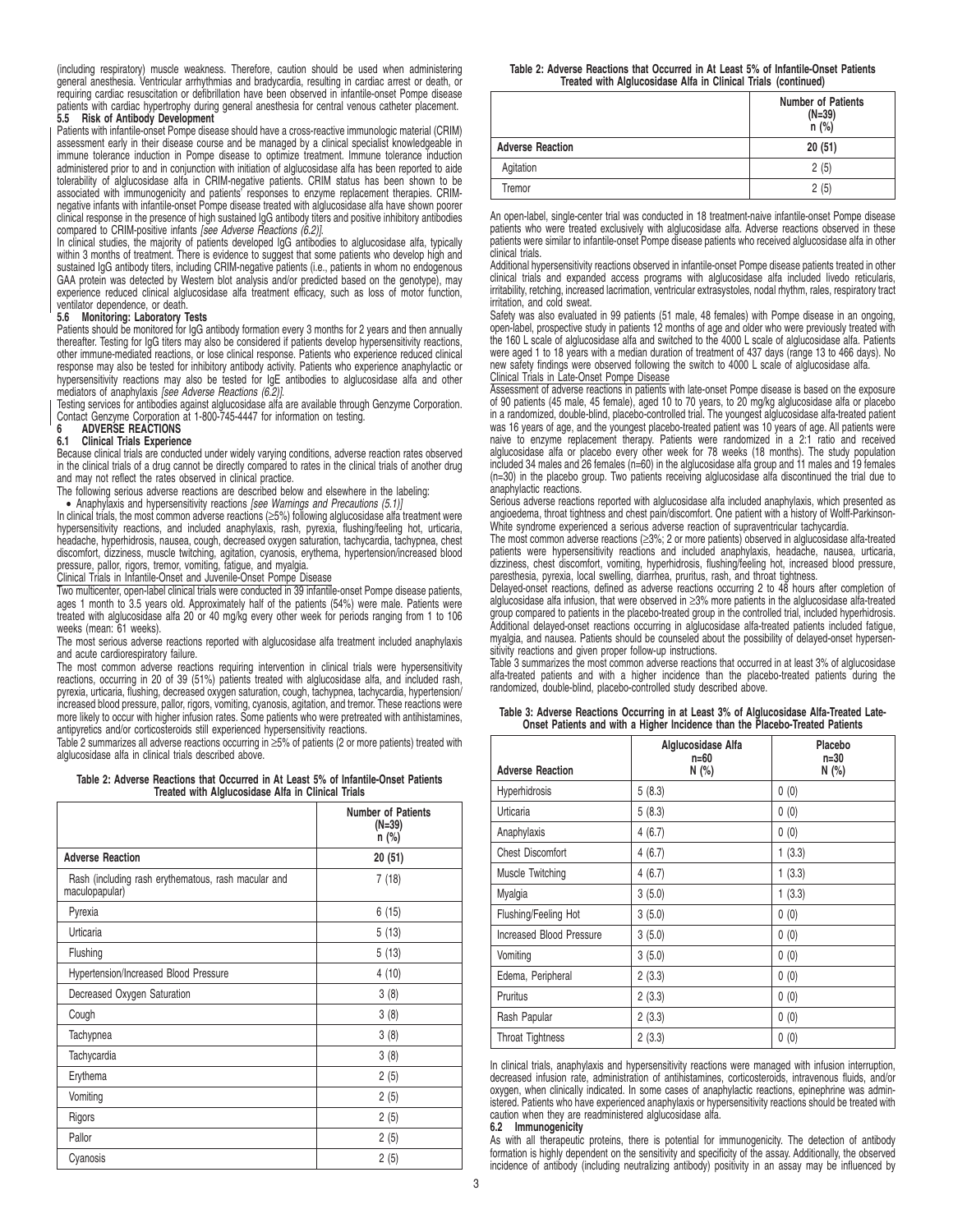(including respiratory) muscle weakness. Therefore, caution should be used when administering general anesthesia. Ventricular arrhythmias and bradycardia, resulting in cardiac arrest or death, or requiring cardiac resuscitation or defibrillation have been observed in infantile-onset Pompe disease patients with cardiac hypertrophy during general anesthesia for central venous catheter placement. **5.5 Risk of Antibody Development**

Patients with infantile-onset Pompe disease should have a cross-reactive immunologic material (CRIM) assessment early in their disease course and be managed by a clinical specialist knowledgeable in immune tolerance induction in Pompe disease to optimize treatment. Immune tolerance induction administered prior to and in conjunction with initiation of alglucosidase alfa has been reported to aide tolerability of alglucosidase alfa in CRIM-negative patients. CRIM status has been shown to be associated with immunogenicity and patients' responses to enzyme replacement therapies. CRIMnegative infants with infantile-onset Pompe disease treated with alglucosidase alfa have shown poorer clinical response in the presence of high sustained IgG antibody titers and positive inhibitory antibodies compared to CRIM-positive infants [see Adverse Reactions (6.2)].

In clinical studies, the majority of patients developed IgG antibodies to alglucosidase alfa, typically within 3 months of treatment. There is evidence to suggest that some patients who develop high and sustained IgG antibody titers, including CRIM-negative patients (i.e., patients in whom no endogenous GAA protein was detected by Western blot analysis and/or predicted based on the genotype), may experience reduced clinical alglucosidase alfa treatment efficacy, such as loss of motor function, ventilator dependence, or death.

#### **5.6 Monitoring: Laboratory Tests**

Patients should be monitored for IgG antibody formation every 3 months for 2 years and then annually thereafter. Testing for IgG titers may also be considered if patients develop hypersensitivity reactions, other immune-mediated reactions, or lose clinical response. Patients who experience reduced clinical response may also be tested for inhibitory antibody activity. Patients who experience anaphylactic or hypersensitivity reactions may also be tested for IgE antibodies to alglucosidase alfa and other<br>mediators of anaphylaxis *[see Adverse Reactions (6.2)]*.

Testing services for antibodies against alglucosidase alfa are available through Genzyme Corporation.<br>Contact Genzyme Corporation at 1-800-745-4447 for information on testing.<br>**6 ADVERSE REACTIONS** 

# **6.1 Clinical Trials Experience**

Because clinical trials are conducted under widely varying conditions, adverse reaction rates observed in the clinical trials of a drug cannot be directly compared to rates in the clinical trials of another drug and may not reflect the rates observed in clinical practice.

The following serious adverse reactions are described below and elsewhere in the labeling:

• Anaphylaxis and hypersensitivity reactions [see Warnings and Precautions (5.1)] In clinical trials, the most common adverse reactions (≥5%) following alglucosidase alfa treatment were hypersensitivity reactions, and included anaphylaxis, rash, pyrexia, flushing/feeling hot, urticaria, headache, hyperhidrosis, nausea, cough, decreased oxygen saturation, tachycardia, tachypnea, chest discomfort, dizziness, muscle twitching, agitation, cyanosis, erythema, hypertension/increased blood pressure, pallor, rigors, tremor, vomiting, fatigue, and myalgia.

#### Clinical Trials in Infantile-Onset and Juvenile-Onset Pompe Disease

Two multicenter, open-label clinical trials were conducted in 39 infantile-onset Pompe disease patients, ages 1 month to 3.5 years old. Approximately half of the patients (54%) were male. Patients were treated with alglucosidase alfa 20 or 40 mg/kg every other week for periods ranging from 1 to 106 weeks (mean: 61 weeks).

The most serious adverse reactions reported with alglucosidase alfa treatment included anaphylaxis and acute cardiorespiratory failure.

The most common adverse reactions requiring intervention in clinical trials were hypersensitivity reactions, occurring in 20 of 39 (51%) patients treated with alglucosidase alfa, and included rash, pyrexia, urticaria, flushing, decreased oxygen saturation, cough, tachypnea, tachycardia, hypertension/<br>increased blood pressure, pallor, rigors, vomiting, cyanosis, agitation, and tremor. These reactions were<br>more likely antipyretics and/or corticosteroids still experienced hypersensitivity reactions.

Table 2 summarizes all adverse reactions occurring in ≥5% of patients (2 or more patients) treated with alglucosidase alfa in clinical trials described above.

**Table 2: Adverse Reactions that Occurred in At Least 5% of Infantile-Onset Patients Treated with Alglucosidase Alfa in Clinical Trials**

|                                                                       | <b>Number of Patients</b><br>$(N=39)$<br>$n$ (%) |
|-----------------------------------------------------------------------|--------------------------------------------------|
| <b>Adverse Reaction</b>                                               | 20(51)                                           |
| Rash (including rash erythematous, rash macular and<br>maculopapular) | 7(18)                                            |
| Pyrexia                                                               | 6(15)                                            |
| Urticaria                                                             | 5(13)                                            |
| Flushing                                                              | 5(13)                                            |
| Hypertension/Increased Blood Pressure                                 | 4(10)                                            |
| Decreased Oxygen Saturation                                           | 3(8)                                             |
| Cough                                                                 | 3(8)                                             |
| Tachypnea                                                             | 3(8)                                             |
| Tachycardia                                                           | 3(8)                                             |
| Erythema                                                              | 2(5)                                             |
| Vomiting                                                              | 2(5)                                             |
| Rigors                                                                | 2(5)                                             |
| Pallor                                                                | 2(5)                                             |
| Cyanosis                                                              | 2(5)                                             |

|                         | <b>Number of Patients</b><br>$(N=39)$<br>n(%) |
|-------------------------|-----------------------------------------------|
| <b>Adverse Reaction</b> | 20(51)                                        |
| Agitation               | 2(5)                                          |
| Tremor                  | 2(5)                                          |

An open-label, single-center trial was conducted in 18 treatment-naive infantile-onset Pompe disease patients who were treated exclusively with alglucosidase alfa. Adverse reactions observed in these patients were similar to infantile-onset Pompe disease patients who received alglucosidase alfa in other clinical trials.

Additional hypersensitivity reactions observed in infantile-onset Pompe disease patients treated in other clinical trials and expanded access programs with alglucosidase alfa included livedo reticularis, irritability, retching, increased lacrimation, ventricular extrasystoles, nodal rhythm, rales, respiratory tract irritation, and cold sweat.

Safety was also evaluated in 99 patients (51 male, 48 females) with Pompe disease in an ongoing, open-label, prospective study in patients 12 months of age and older who were previously treated with the 160 L scale of alglucosidase alfa and switched to the 4000 L scale of alglucosidase alfa. Patients were aged 1 to 18 years with a median duration of treatment of 437 days (range 13 to 466 days). No new safety findings were observed following the switch to 4000 L scale of alglucosidase alfa. Clinical Trials in Late-Onset Pompe Disease

Assessment of adverse reactions in patients with late-onset Pompe disease is based on the exposure of 90 patients (45 male, 45 female), aged 10 to 70 years, to 20 mg/kg alglucosidase alfa or placebo in a randomized, double-blind, placebo-controlled trial. The youngest alglucosidase alfa-treated patient was 16 years of age, and the youngest placebo-treated patient was 10 years of age. All patients were naive to enzyme replacement therapy. Patients were randomized in a 2:1 ratio and received alglucosidase alfa or placebo every other week for 78 weeks (18 months). The study population included 34 males and 26 females (n=60) in the alglucosidase alfa group and 11 males and 19 females (n=30) in the placebo group. Two patients receiving alglucosidase alfa discontinued the trial due to anaphylactic reactions.

Serious adverse reactions reported with alglucosidase alfa included anaphylaxis, which presented as angioedema, throat tightness and chest pain/discomfort. One patient with a history of Wolff-Parkinson-White syndrome experienced a serious adverse reaction of supraventricular tachycardia.

The most common adverse reactions (≥3%; 2 or more patients) observed in alglucosidase alfa-treated patients were hypersensitivity reactions and included anaphylaxis, headache, nausea, urticaria, dizziness, chest discomfort, vomiting, hyperhidrosis, flushing/feeling hot, increased blood pressure, paresthesia, pyrexia, local swelling, diarrhea, pruritus, rash, and throat tightness.

Delayed-onset reactions, defined as adverse reactions occurring 2 to 48 hours after completion of alglucosidase alfa infusion, that were observed in ≥3% more patients in the alglucosidase alfa-treated group compared to patients in the placebo-treated group in the controlled trial, included hyperhidrosis. Additional delayed-onset reactions occurring in alglucosidase alfa-treated patients included fatigue, myalgia, and nausea. Patients should be counseled about the possibility of delayed-onset hypersen-sitivity reactions and given proper follow-up instructions.

Table 3 summarizes the most common adverse reactions that occurred in at least 3% of alglucosidase alfa-treated patients and with a higher incidence than the placebo-treated patients during the randomized, double-blind, placebo-controlled study described above.

|  |  |  |  |  |  |  | Table 3: Adverse Reactions Occurring in at Least 3% of Alglucosidase Alfa-Treated Late- |  |
|--|--|--|--|--|--|--|-----------------------------------------------------------------------------------------|--|
|  |  |  |  |  |  |  | Onset Patients and with a Higher Incidence than the Placebo-Treated Patients            |  |

| <b>Adverse Reaction</b>         | Alglucosidase Alfa<br>$n = 60$<br>N(%) | Placebo<br>$n=30$<br>N(%) |  |  |
|---------------------------------|----------------------------------------|---------------------------|--|--|
| <b>Hyperhidrosis</b>            | 5(8.3)                                 | 0(0)                      |  |  |
| Urticaria                       | 5(8.3)                                 | 0(0)                      |  |  |
| Anaphylaxis                     | 4(6.7)                                 | 0(0)                      |  |  |
| <b>Chest Discomfort</b>         | 4(6.7)                                 | 1(3.3)                    |  |  |
| Muscle Twitching                | 4(6.7)                                 | 1(3.3)                    |  |  |
| Myalgia                         | 3(5.0)                                 | 1(3.3)                    |  |  |
| Flushing/Feeling Hot            | 3(5.0)                                 | 0(0)                      |  |  |
| <b>Increased Blood Pressure</b> | 3(5.0)                                 | 0(0)                      |  |  |
| Vomiting                        | 3(5.0)                                 | 0(0)                      |  |  |
| Edema, Peripheral               | 2(3.3)                                 | 0(0)                      |  |  |
| Pruritus                        | 2(3.3)                                 | 0(0)                      |  |  |
| Rash Papular                    | 2(3.3)                                 | 0(0)                      |  |  |
| <b>Throat Tightness</b>         | 2(3.3)                                 | 0(0)                      |  |  |

In clinical trials, anaphylaxis and hypersensitivity reactions were managed with infusion interruption, decreased infusion rate, administration of antihistamines, corticosteroids, intravenous fluids, and/or oxygen, when clinically indicated. In some cases of anaphylactic reactions, epinephrine was administered. Patients who have experienced anaphylaxis or hypersensitivity reactions should be treated with caution when they are readministered alglucosidase alfa.

# **6.2 Immunogenicity**

As with all therapeutic proteins, there is potential for immunogenicity. The detection of antibody formation is highly dependent on the sensitivity and specificity of the assay. Additionally, the observed incidence of antibody (including neutralizing antibody) positivity in an assay may be influenced by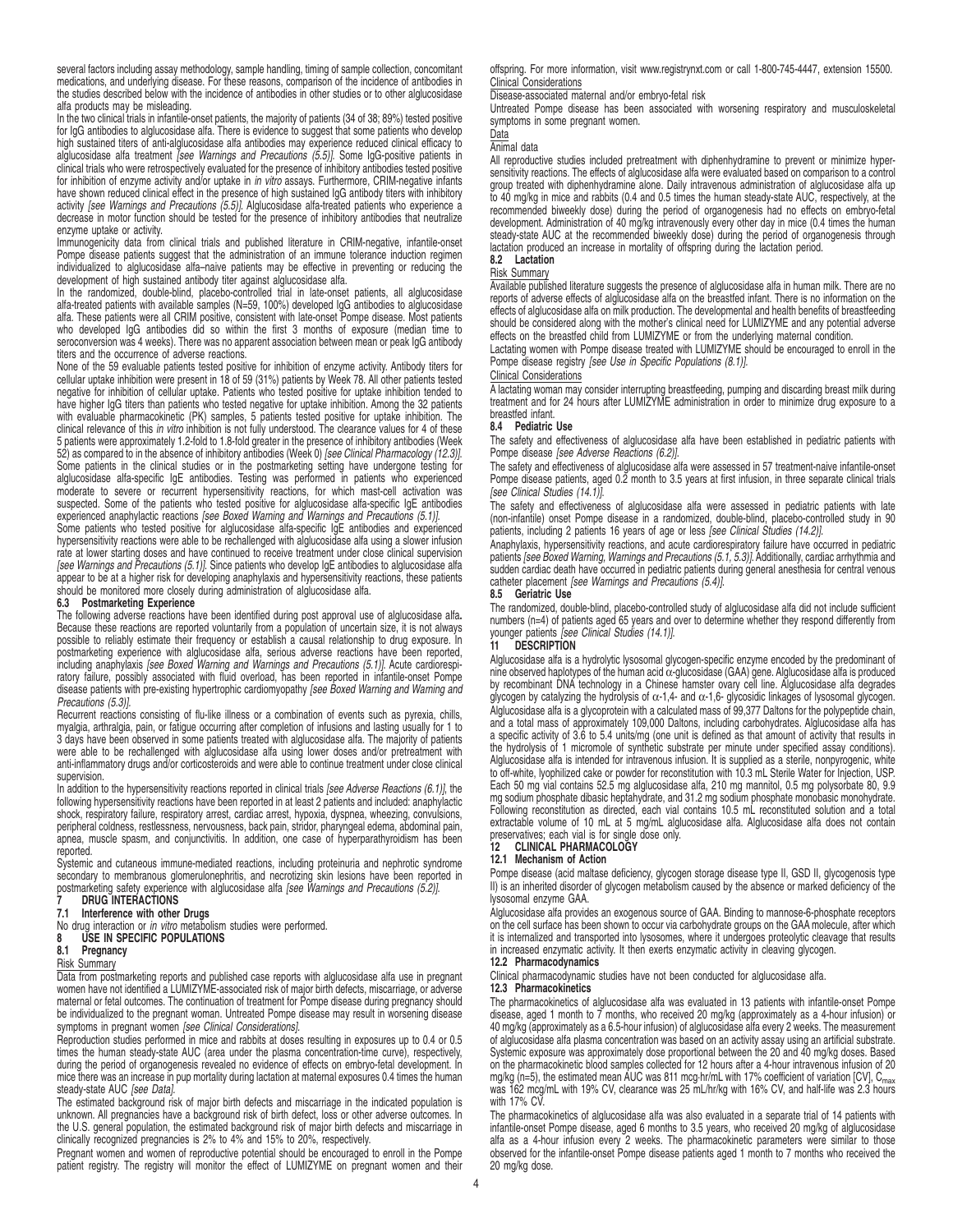several factors including assay methodology, sample handling, timing of sample collection, concomitant medications, and underlying disease. For these reasons, comparison of the incidence of antibodies in the studies described below with the incidence of antibodies in other studies or to other alglucosidase alfa products may be misleading.

In the two clinical trials in infantile-onset patients, the majority of patients (34 of 38; 89%) tested positive for IgG antibodies to alglucosidase alfa. There is evidence to suggest that some patients who develop high sustained titers of anti-alglucosidase alfa antibodies may experience reduced clinical efficacy to alglucosidase alfa treatment [see Warnings and Precautions (5.5)]. Some IgG-positive patients in clinical trials who were retrospectively evaluated for the presence of inhibitory antibodies tested positive for inhibition of enzyme activity and/or uptake in in vitro assays. Furthermore, CRIM-negative infants have shown reduced clinical effect in the presence of high sustained IgG antibody titers with inhibitory activity *[see Warnings and Precautions (5.5)]*. Alglucosidase alfa-treated patients who experience a<br>decrease in motor function should be tested for the presence of inhibitory antibodies that neutralize enzyme uptake or activity.

Immunogenicity data from clinical trials and published literature in CRIM-negative, infantile-onset Pompe disease patients suggest that the administration of an immune tolerance induction regimen individualized to alglucosidase alfa–naive patients may be effective in preventing or reducing the

development of high sustained antibody titer against alglucosidase alfa. In the randomized, double-blind, placebo-controlled trial in late-onset patients, all alglucosidase alfa-treated patients with available samples (N=59, 100%) developed IgG antibodies to alglucosidase alfa. These patients were all CRIM positive, consistent with late-onset Pompe disease. Most patients who developed IgG antibodies did so within the first 3 months of exposure (median time to seroconversion was 4 weeks). There was no apparent association between mean or peak IgG antibody titers and the occurrence of adverse reactions.

None of the 59 evaluable patients tested positive for inhibition of enzyme activity. Antibody titers for<br>cellular uptake inhibition were present in 18 of 59 (31%) patients by Week 78. All other patients tested<br>negative for have higher IgG titers than patients who tested negative for uptake inhibition. Among the 32 patients with evaluable pharmacokinetic (PK) samples, 5 patients tested positive for uptake inhibition. The<br>clinical relevance of this *in vitro* inhibition is not fully understood. The clearance values for 4 of these 5 patients were approximately 1.2-fold to 1.8-fold greater in the presence of inhibitory antibodies (Week 52) as compared to in the absence of inhibitory antibodies (Week 0) [see Clinical Pharmacology (12.3)]. Some patients in the clinical studies or in the postmarketing setting have undergone testing for alglucosidase alfa-specific IgE antibodies. Testing was performed in patients who experienced moderate to severe or recurrent hypersensitivity reactions, for which mast-cell activation was suspected. Some of the patients who tested positive for alglucosidase alfa-specific IgE antibodies experienced anaphylactic reactions [see Boxed Warning and Warnings and Precautions (5.1)].

Some patients who tested positive for alglucosidase alfa-specific IgE antibodies and experienced hypersensitivity reactions were able to be rechallenged with alglucosidase alfa using a slower infusion rate at lower starting doses and have continued to receive treatment under close clinical supervision<br>[see Warnings and Precautions (5.1)]. Since patients who develop IgE antibodies to alglucosidase alfa appear to be at a higher risk for developing anaphylaxis and hypersensitivity reactions, these patients should be monitored more closely during administration of alglucosidase alfa.

### **6.3 Postmarketing Experience**

The following adverse reactions have been identified during post approval use of alglucosidase alfa**.** Because these reactions are reported voluntarily from a population of uncertain size, it is not always possible to reliably estimate their frequency or establish a causal relationship to drug exposure. In postmarketing experience with alglucosidase alfa, serious adverse reactions have been reported, including anaphylaxis [see Boxed Warning and Warnings and Precautions (5.1)]. Acute cardiorespiratory failure, possibly associated with fluid overload, has been reported in infantile-onset Pompe disease patients with pre-existing hypertrophic cardiomyopathy [see Boxed Warning and Warning and Precautions (5.3)].

Recurrent reactions consisting of flu-like illness or a combination of events such as pyrexia, chills, myalgia, arthralgia, pain, or fatigue occurring after completion of infusions and lasting usually for 1 to 3 days have been observed in some patients treated with alglucosidase alfa. The majority of patients were able to be rechallenged with alglucosidase alfa using lower doses and/or pretreatment with anti-inflammatory drugs and/or corticosteroids and were able to continue treatment under close clinical supervision.

In addition to the hypersensitivity reactions reported in clinical trials [see Adverse Reactions (6.1)], the following hypersensitivity reactions have been reported in at least 2 patients and included: anaphylactic shock, respiratory failure, respiratory arrest, cardiac arrest, hypoxia, dyspnea, wheezing, convulsions, peripheral coldness, restlessness, nervousness, back pain, stridor, pharyngeal edema, abdominal pain, apnea, muscle spasm, and conjunctivitis. In addition, one case of hyperparathyroidism has been reported.

Systemic and cutaneous immune-mediated reactions, including proteinuria and nephrotic syndrome secondary to membranous glomerulonephritis, and necrotizing skin lesions have been reported in postmarketing safety experience with alglucosidase alfa [see Warnings and Precautions (5.2)].

# **7** DRUG INTERACTIONS<br>7.1 Interference with other

**7.1 Interference with other Drugs**

No drug interaction or *in vitro* metabolism studies were performed.<br>**8 USE IN SPECIFIC POPULATIONS** 

# **8 USE IN SPECIFIC POPULATIONS**<br>**8.1** Pregnancy

**8.1 Pregnancy**

# Risk Summary

Data from postmarketing reports and published case reports with alglucosidase alfa use in pregnant women have not identified a LUMIZYME-associated risk of major birth defects, miscarriage, or adverse maternal or fetal outcomes. The continuation of treatment for Pompe disease during pregnancy should be individualized to the pregnant woman. Untreated Pompe disease may result in worsening disease symptoms in pregnant women [see Clinical Considerations].

Reproduction studies performed in mice and rabbits at doses resulting in exposures up to 0.4 or 0.5 times the human steady-state AUC (area under the plasma concentration-time curve), respectively, during the period of organogenesis revealed no evidence of effects on embryo-fetal development. In mice there was an increase in pup mortality during lactation at maternal exposures 0.4 times the human steady-state AUC [see Data].

The estimated background risk of major birth defects and miscarriage in the indicated population is unknown. All pregnancies have a background risk of birth defect, loss or other adverse outcomes. In the U.S. general population, the estimated background risk of major birth defects and miscarriage in clinically recognized pregnancies is 2% to 4% and 15% to 20%, respectively.

Pregnant women and women of reproductive potential should be encouraged to enroll in the Pompe patient registry. The registry will monitor the effect of LUMIZYME on pregnant women and their offspring. For more information, visit www.registrynxt.com or call 1-800-745-4447, extension 15500. Clinical Considerations

Disease-associated maternal and/or embryo-fetal risk

Untreated Pompe disease has been associated with worsening respiratory and musculoskeletal symptoms in some pregnant women.

# Data

# Animal data

All reproductive studies included pretreatment with diphenhydramine to prevent or minimize hypersensitivity reactions. The effects of alglucosidase alfa were evaluated based on comparison to a control group treated with diphenhydramine alone. Daily intravenous administration of alglucosidase alfa up to 40 mg/kg in mice and rabbits (0.4 and 0.5 times the human steady-state AUC, respectively, at the recommended biweekly dose) during the period of organogenesis had no effects on embryo-fetal development. Administration of 40 mg/kg intravenously every other day in mice (0.4 times the human steady-state AUC at the recommended biweekly dose) during the period of organogenesis through lactation produced an increase in mortality of offspring during the lactation period. **8.2 Lactation**

# Risk Summary

Available published literature suggests the presence of alglucosidase alfa in human milk. There are no reports of adverse effects of alglucosidase alfa on the breastfed infant. There is no information on the effects of alglucosidase alfa on milk production. The developmental and health benefits of breastfeeding

should be considered along with the mother's clinical need for LUMIZYME and any potential adverse effects on the breastfed child from LUMIZYME or from the underlying maternal condition. Lactating women with Pompe disease treated with LUMIZYME should be encouraged to enroll in the

Pompe disease registry [see Use in Specific Populations (8.1)].

# Clinical Considerations

A lactating woman may consider interrupting breastfeeding, pumping and discarding breast milk during treatment and for 24 hours after LUMIZYME administration in order to minimize drug exposure to a breastfed infant.

#### **8.4 Pediatric Use**

The safety and effectiveness of alglucosidase alfa have been established in pediatric patients with Pompe disease [see Adverse Reactions (6.2)].

The safety and effectiveness of alglucosidase alfa were assessed in 57 treatment-naive infantile-onset Pompe disease patients, aged 0.2 month to 3.5 years at first infusion, in three separate clinical trials [see Clinical Studies (14.1)].

The safety and effectiveness of alglucosidase alfa were assessed in pediatric patients with late (non-infantile) onset Pompe disease in a randomized, double-blind, placebo-controlled study in 90 patients, including 2 patients 16 years of age or less [see Clinical Studies (14.2)].

Anaphylaxis, hypersensitivity reactions, and acute cardiorespiratory failure have occurred in pediatric patients [see Boxed Warning, Warnings and Precautions (5.1, 5.3)]. Additionally, cardiac arrhythmia and sudden cardiac death have occurred in pediatric patients during general anesthesia for central venous<br>catheter placement *[see Warnings and Precautions (5.4)]*.

#### **8.5 Geriatric Use**

The randomized, double-blind, placebo-controlled study of alglucosidase alfa did not include sufficient numbers (n=4) of patients aged 65 years and over to determine whether they respond differently from<br>younger patients *[see Clinical Studies (14.1)]*.

### **11 DESCRIPTION**

Alglucosidase alfa is a hydrolytic lysosomal glycogen-specific enzyme encoded by the predominant of nine observed haplotypes of the human acid α-glucosidase (GAA) gene. Alglucosidase alfa is produced by recombinant DNA technology in a Chinese hamster ovary cell line. Alglucosidase alfa degrades glycogen by catalyzing the hydrolysis of  $\alpha$ -1,4- and  $\alpha$ -1,6- glycosidic linkages of lysosomal glycogen. Alglucosidase alfa is a glycoprotein with a calculated mass of 99,377 Daltons for the polypeptide chain, and a total mass of approximately 109,000 Daltons, including carbohydrates. Alglucosidase alfa has a specific activity of 3.6 to 5.4 units/mg (one unit is defined as that amount of activity that results in the hydrolysis of 1 micromole of synthetic substrate per minute under specified assay conditions).<br>Alglucosidase alfa is intended for intravenous infusion. It is supplied as a sterile, nonpyrogenic, white to off-white, lyophilized cake or powder for reconstitution with 10.3 mL Sterile Water for Injection, USP. Each 50 mg vial contains 52.5 mg alglucosidase alfa, 210 mg mannitol, 0.5 mg polysorbate 80, 9.9 mg sodium phosphate dibasic heptahydrate, and 31.2 mg sodium phosphate monobasic monohydrate. Following reconstitution as directed, each vial contains 10.5 mL reconstituted solution and a total extractable volume of 10 mL at 5 mg/mL alglucosidase alfa. Alglucosidase alfa does not contain preservatives; each vial is for single dose only.

#### **12 CLINICAL PHARMACOLOGY 12.1 Mechanism of Action**

Pompe disease (acid maltase deficiency, glycogen storage disease type II, GSD II, glycogenosis type II) is an inherited disorder of glycogen metabolism caused by the absence or marked deficiency of the lysosomal enzyme GAA.

Alglucosidase alfa provides an exogenous source of GAA. Binding to mannose-6-phosphate receptors on the cell surface has been shown to occur via carbohydrate groups on the GAA molecule, after which it is internalized and transported into lysosomes, where it undergoes proteolytic cleavage that results in increased enzymatic activity. It then exerts enzymatic activity in cleaving glycogen. **12.2 Pharmacodynamics**

Clinical pharmacodynamic studies have not been conducted for alglucosidase alfa.

# **12.3 Pharmacokinetics**

The pharmacokinetics of alglucosidase alfa was evaluated in 13 patients with infantile-onset Pompe disease, aged 1 month to 7 months, who received 20 mg/kg (approximately as a 4-hour infusion) or 40 mg/kg (approximately as a 6.5-hour infusion) of alglucosidase alfa every 2 weeks. The measurement of alglucosidase alfa plasma concentration was based on an activity assay using an artificial substrate.<br>Systemic exposure was approximately dose proportional between the 20 and 40 mg/kg doses. Based<br>on the pharmacokinetic mg/kg (n=5), the estimated mean AUC was 811 mcg·hr/mL with 17% coefficient of variation [CV], C<sub>max</sub><br>was 162 mcg/mL with 19% CV, clearance was 25 mL/hr/kg with 16% CV, and half-life was 2.3 hours with 17% CV.

The pharmacokinetics of alglucosidase alfa was also evaluated in a separate trial of 14 patients with infantile-onset Pompe disease, aged 6 months to 3.5 years, who received 20 mg/kg of alglucosidase alfa as a 4-hour infusion every 2 weeks. The pharmacokinetic parameters were similar to those observed for the infantile-onset Pompe disease patients aged 1 month to 7 months who received the 20 mg/kg dose.